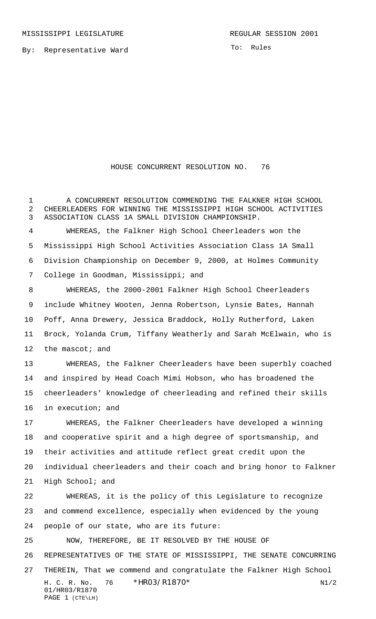By: Representative Ward

To: Rules

## HOUSE CONCURRENT RESOLUTION NO. 76

H. C. R. No. 76 \* HRO3/R1870\* N1/2 01/HR03/R1870 PAGE 1 (CTE\LH) A CONCURRENT RESOLUTION COMMENDING THE FALKNER HIGH SCHOOL CHEERLEADERS FOR WINNING THE MISSISSIPPI HIGH SCHOOL ACTIVITIES ASSOCIATION CLASS 1A SMALL DIVISION CHAMPIONSHIP. WHEREAS, the Falkner High School Cheerleaders won the Mississippi High School Activities Association Class 1A Small Division Championship on December 9, 2000, at Holmes Community College in Goodman, Mississippi; and WHEREAS, the 2000-2001 Falkner High School Cheerleaders include Whitney Wooten, Jenna Robertson, Lynsie Bates, Hannah Poff, Anna Drewery, Jessica Braddock, Holly Rutherford, Laken Brock, Yolanda Crum, Tiffany Weatherly and Sarah McElwain, who is 12 the mascot; and WHEREAS, the Falkner Cheerleaders have been superbly coached and inspired by Head Coach Mimi Hobson, who has broadened the cheerleaders' knowledge of cheerleading and refined their skills in execution; and WHEREAS, the Falkner Cheerleaders have developed a winning and cooperative spirit and a high degree of sportsmanship, and their activities and attitude reflect great credit upon the individual cheerleaders and their coach and bring honor to Falkner High School; and WHEREAS, it is the policy of this Legislature to recognize and commend excellence, especially when evidenced by the young people of our state, who are its future: NOW, THEREFORE, BE IT RESOLVED BY THE HOUSE OF REPRESENTATIVES OF THE STATE OF MISSISSIPPI, THE SENATE CONCURRING THEREIN, That we commend and congratulate the Falkner High School